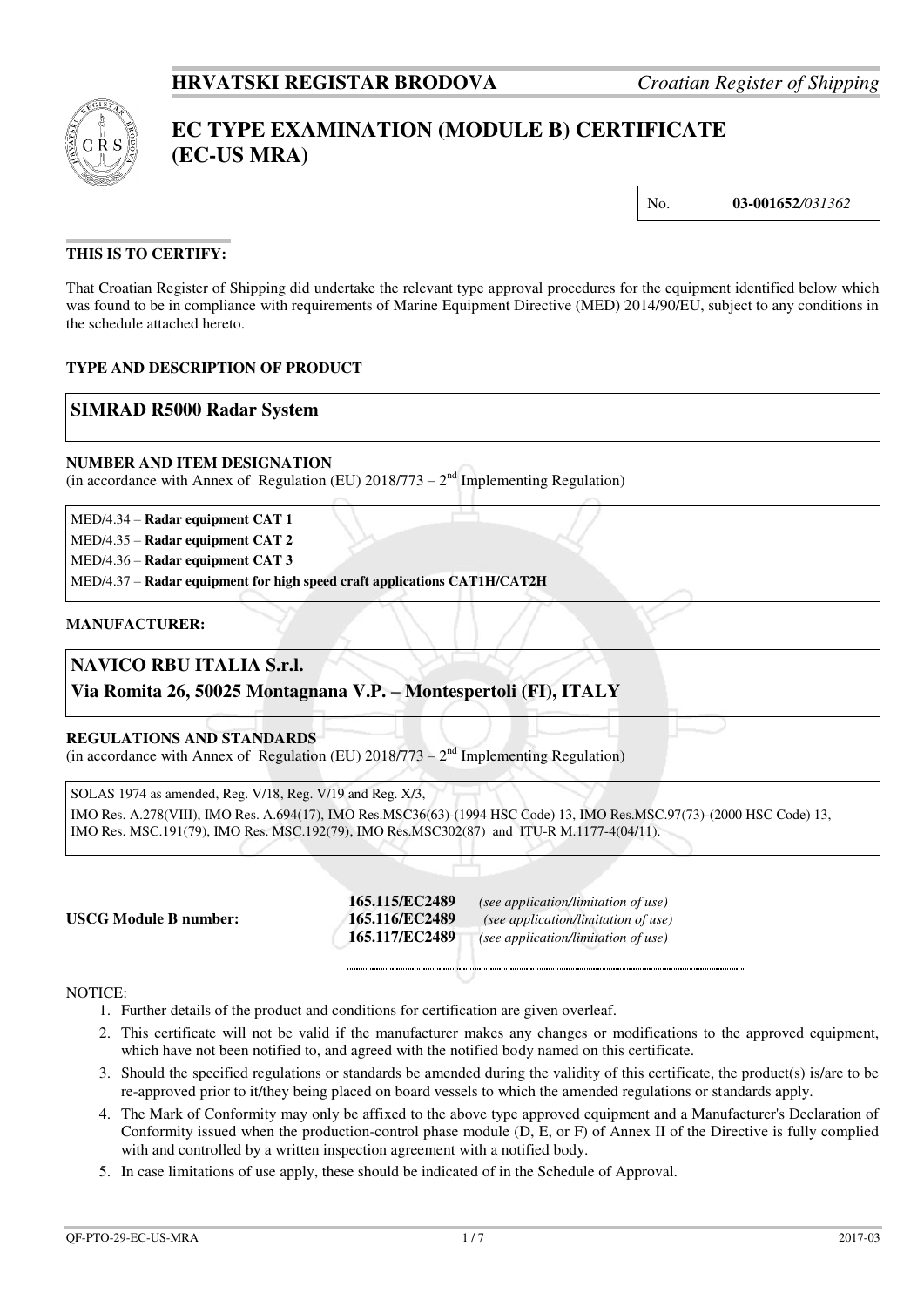

# **EC TYPE EXAMINATION (MODULE B) CERTIFICATE (EC-US MRA)**

No. **03-001652***/031362*

### **THIS IS TO CERTIFY:**

That Croatian Register of Shipping did undertake the relevant type approval procedures for the equipment identified below which was found to be in compliance with requirements of Marine Equipment Directive (MED) 2014/90/EU, subject to any conditions in the schedule attached hereto.

#### **TYPE AND DESCRIPTION OF PRODUCT**

### **SIMRAD R5000 Radar System**

#### **NUMBER AND ITEM DESIGNATION**

(in accordance with Annex of Regulation (EU)  $2018/773 - 2<sup>nd</sup>$  Implementing Regulation)

MED/4.34 – **Radar equipment CAT 1** 

MED/4.35 – **Radar equipment CAT 2** 

MED/4.36 – **Radar equipment CAT 3** 

MED/4.37 – **Radar equipment for high speed craft applications CAT1H/CAT2H**

#### **MANUFACTURER:**

## **NAVICO RBU ITALIA S.r.l.**

**Via Romita 26, 50025 Montagnana V.P. – Montespertoli (FI), ITALY**

#### **REGULATIONS AND STANDARDS**

(in accordance with Annex of Regulation (EU)  $2018/773 - 2<sup>nd</sup>$  Implementing Regulation)

SOLAS 1974 as amended, Reg. V/18, Reg. V/19 and Reg. X/3,

IMO Res. A.278(VIII), IMO Res. A.694(17), IMO Res.MSC36(63)-(1994 HSC Code) 13, IMO Res.MSC.97(73)-(2000 HSC Code) 13, IMO Res. MSC.191(79), IMO Res. MSC.192(79), IMO Res.MSC302(87) and ITU-R M.1177-4(04/11).

**165.115/EC2489** *(see application/limitation of use)* **165.116/EC2489** *(see application/limitation of use)*  **165.117/EC2489** *(see application/limitation of use)*

#### NOTICE:

- 1. Further details of the product and conditions for certification are given overleaf.
- 2. This certificate will not be valid if the manufacturer makes any changes or modifications to the approved equipment, which have not been notified to, and agreed with the notified body named on this certificate.
- 3. Should the specified regulations or standards be amended during the validity of this certificate, the product(s) is/are to be re-approved prior to it/they being placed on board vessels to which the amended regulations or standards apply.
- 4. The Mark of Conformity may only be affixed to the above type approved equipment and a Manufacturer's Declaration of Conformity issued when the production-control phase module (D, E, or F) of Annex II of the Directive is fully complied with and controlled by a written inspection agreement with a notified body.
- 5. In case limitations of use apply, these should be indicated of in the Schedule of Approval.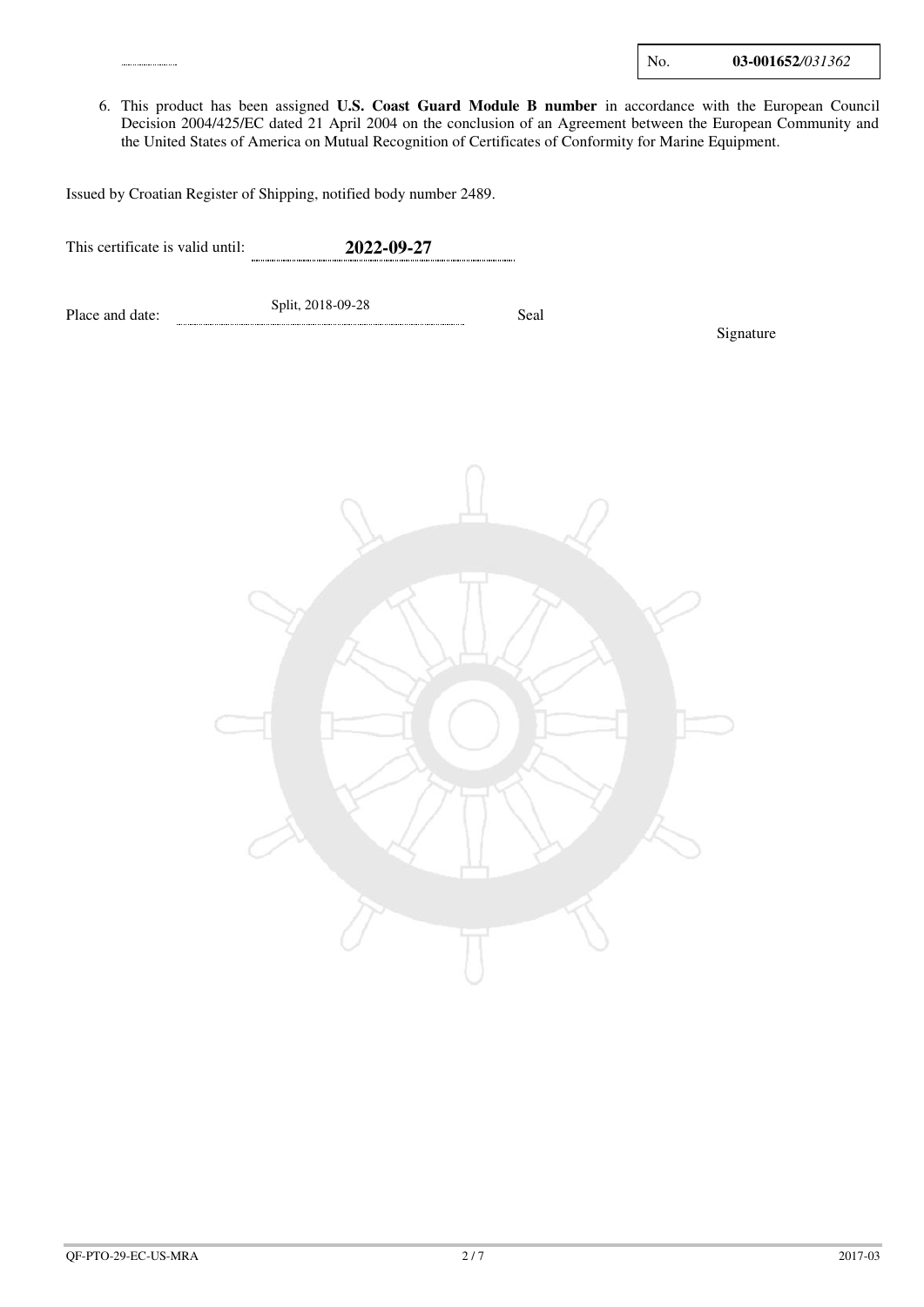| No. | 03-001652/031362 |
|-----|------------------|
|     |                  |

6. This product has been assigned **U.S. Coast Guard Module B number** in accordance with the European Council Decision 2004/425/EC dated 21 April 2004 on the conclusion of an Agreement between the European Community and the United States of America on Mutual Recognition of Certificates of Conformity for Marine Equipment.

Issued by Croatian Register of Shipping, notified body number 2489.

This certificate is valid until: **2022-09-27** 

Place and date: Split, 2018-09-28 Seal

Signature

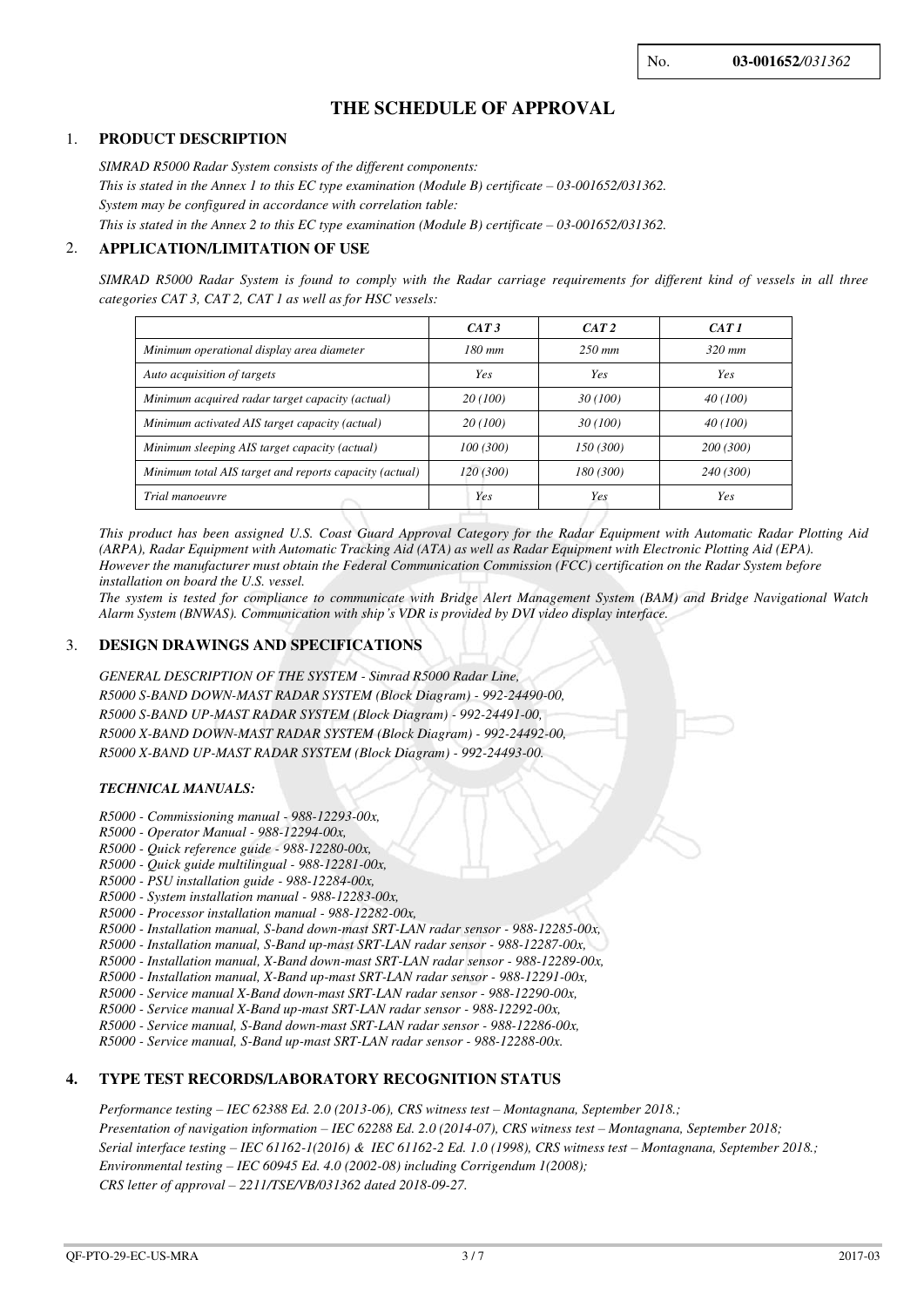## **THE SCHEDULE OF APPROVAL**

#### 1. **PRODUCT DESCRIPTION**

*SIMRAD R5000 Radar System consists of the different components: This is stated in the Annex 1 to this EC type examination (Module B) certificate – 03-001652/031362. System may be configured in accordance with correlation table: This is stated in the Annex 2 to this EC type examination (Module B) certificate – 03-001652/031362.* 

#### 2. **APPLICATION/LIMITATION OF USE**

*SIMRAD R5000 Radar System is found to comply with the Radar carriage requirements for different kind of vessels in all three categories CAT 3, CAT 2, CAT 1 as well as for HSC vessels:* 

|                                                        | CAT3      | CAT 2      | CAT1      |
|--------------------------------------------------------|-----------|------------|-----------|
| Minimum operational display area diameter              | $180$ mm  | $250$ mm   | $320$ mm  |
| Auto acquisition of targets                            | Yes       | <b>Yes</b> | Yes       |
| Minimum acquired radar target capacity (actual)        | 20 (100)  | 30 (100)   | 40 (100)  |
| Minimum activated AIS target capacity (actual)         | 20 (100)  | 30 (100)   | 40 (100)  |
| Minimum sleeping AIS target capacity (actual)          | 100(300)  | 150 (300)  | 200 (300) |
| Minimum total AIS target and reports capacity (actual) | 120 (300) | 180 (300)  | 240 (300) |
| Trial manoeuvre                                        | Yes       | Yes        | Yes       |

*This product has been assigned U.S. Coast Guard Approval Category for the Radar Equipment with Automatic Radar Plotting Aid (ARPA), Radar Equipment with Automatic Tracking Aid (ATA) as well as Radar Equipment with Electronic Plotting Aid (EPA). However the manufacturer must obtain the Federal Communication Commission (FCC) certification on the Radar System before installation on board the U.S. vessel.* 

*The system is tested for compliance to communicate with Bridge Alert Management System (BAM) and Bridge Navigational Watch Alarm System (BNWAS). Communication with ship's VDR is provided by DVI video display interface.*

#### 3. **DESIGN DRAWINGS AND SPECIFICATIONS**

*GENERAL DESCRIPTION OF THE SYSTEM - Simrad R5000 Radar Line, R5000 S-BAND DOWN-MAST RADAR SYSTEM (Block Diagram) - 992-24490-00, R5000 S-BAND UP-MAST RADAR SYSTEM (Block Diagram) - 992-24491-00, R5000 X-BAND DOWN-MAST RADAR SYSTEM (Block Diagram) - 992-24492-00, R5000 X-BAND UP-MAST RADAR SYSTEM (Block Diagram) - 992-24493-00.* 

#### *TECHNICAL MANUALS:*

- *R5000 Commissioning manual 988-12293-00x,*
- *R5000 Operator Manual 988-12294-00x,*
- *R5000 Quick reference guide 988-12280-00x,*
- *R5000 Quick guide multilingual 988-12281-00x,*
- *R5000 PSU installation guide 988-12284-00x,*
- *R5000 System installation manual 988-12283-00x,*
- *R5000 Processor installation manual 988-12282-00x,*
- *R5000 Installation manual, S-band down-mast SRT-LAN radar sensor 988-12285-00x,*
- *R5000 Installation manual, S-Band up-mast SRT-LAN radar sensor 988-12287-00x,*
- *R5000 Installation manual, X-Band down-mast SRT-LAN radar sensor 988-12289-00x, R5000 - Installation manual, X-Band up-mast SRT-LAN radar sensor - 988-12291-00x,*
- *R5000 Service manual X-Band down-mast SRT-LAN radar sensor 988-12290-00x,*
- *R5000 Service manual X-Band up-mast SRT-LAN radar sensor 988-12292-00x,*

*R5000 - Service manual, S-Band down-mast SRT-LAN radar sensor - 988-12286-00x,* 

*R5000 - Service manual, S-Band up-mast SRT-LAN radar sensor - 988-12288-00x.* 

#### **4. TYPE TEST RECORDS/LABORATORY RECOGNITION STATUS**

*Performance testing – IEC 62388 Ed. 2.0 (2013-06), CRS witness test – Montagnana, September 2018.; Presentation of navigation information – IEC 62288 Ed. 2.0 (2014-07), CRS witness test – Montagnana, September 2018; Serial interface testing – IEC 61162-1(2016) & IEC 61162-2 Ed. 1.0 (1998), CRS witness test – Montagnana, September 2018.; Environmental testing – IEC 60945 Ed. 4.0 (2002-08) including Corrigendum 1(2008); CRS letter of approval – 2211/TSE/VB/031362 dated 2018-09-27.*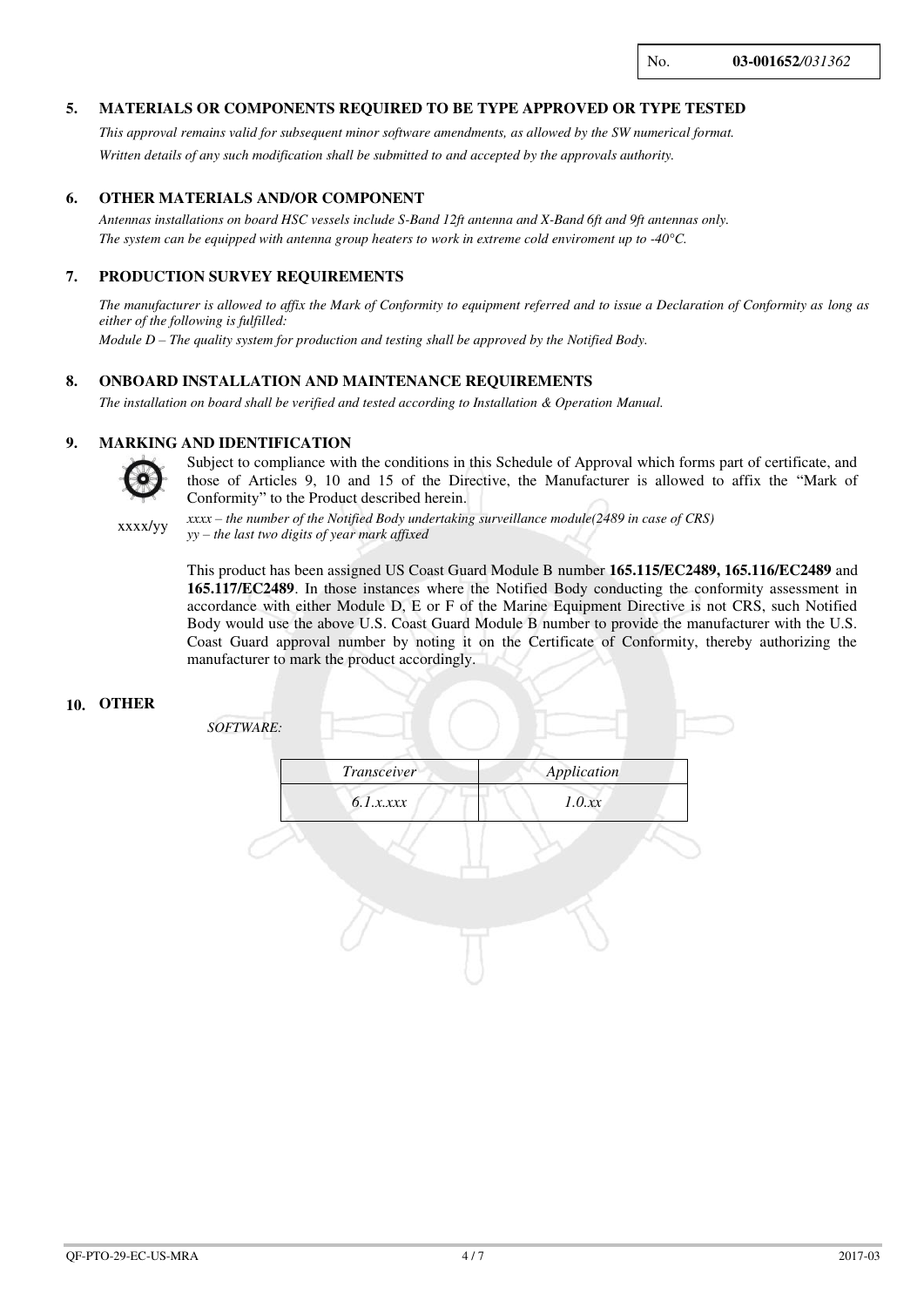### **5. MATERIALS OR COMPONENTS REQUIRED TO BE TYPE APPROVED OR TYPE TESTED**

*This approval remains valid for subsequent minor software amendments, as allowed by the SW numerical format. Written details of any such modification shall be submitted to and accepted by the approvals authority.* 

#### **6. OTHER MATERIALS AND/OR COMPONENT**

*Antennas installations on board HSC vessels include S-Band 12ft antenna and X-Band 6ft and 9ft antennas only. The system can be equipped with antenna group heaters to work in extreme cold enviroment up to -40°C.* 

#### **7. PRODUCTION SURVEY REQUIREMENTS**

*The manufacturer is allowed to affix the Mark of Conformity to equipment referred and to issue a Declaration of Conformity as long as either of the following is fulfilled:* 

*Module D – The quality system for production and testing shall be approved by the Notified Body.*

#### **8. ONBOARD INSTALLATION AND MAINTENANCE REQUIREMENTS**

*The installation on board shall be verified and tested according to Installation & Operation Manual.*

#### **9. MARKING AND IDENTIFICATION**



Subject to compliance with the conditions in this Schedule of Approval which forms part of certificate, and those of Articles 9, 10 and 15 of the Directive, the Manufacturer is allowed to affix the "Mark of Conformity" to the Product described herein.

xxxx/yy *xxxx – the number of the Notified Body undertaking surveillance module(2489 in case of CRS) yy – the last two digits of year mark affixed*

> This product has been assigned US Coast Guard Module B number **165.115/EC2489, 165.116/EC2489** and **165.117/EC2489**. In those instances where the Notified Body conducting the conformity assessment in accordance with either Module D, E or F of the Marine Equipment Directive is not CRS, such Notified Body would use the above U.S. Coast Guard Module B number to provide the manufacturer with the U.S. Coast Guard approval number by noting it on the Certificate of Conformity, thereby authorizing the manufacturer to mark the product accordingly.

#### **10. OTHER**

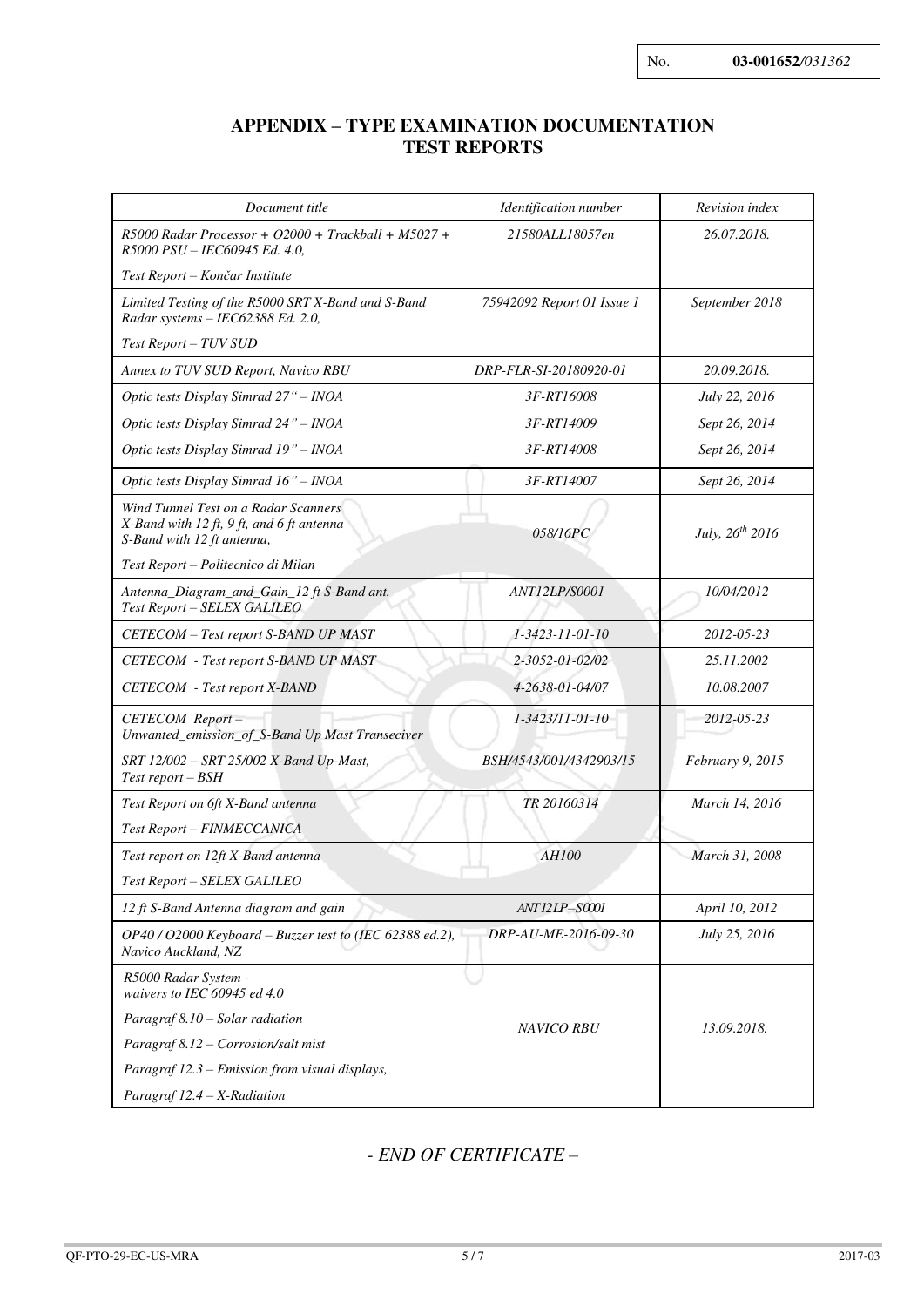## **APPENDIX – TYPE EXAMINATION DOCUMENTATION TEST REPORTS**

| Document title                                                                                                  | Identification number      | Revision index       |  |  |  |  |
|-----------------------------------------------------------------------------------------------------------------|----------------------------|----------------------|--|--|--|--|
| $R5000$ Radar Processor + O2000 + Trackball + M5027 +<br>R5000 PSU - IEC60945 Ed. 4.0,                          | 21580ALL18057en            | 26.07.2018.          |  |  |  |  |
| Test Report – Končar Institute                                                                                  |                            |                      |  |  |  |  |
| Limited Testing of the R5000 SRT X-Band and S-Band<br>Radar systems - IEC62388 Ed. 2.0,                         | 75942092 Report 01 Issue 1 | September 2018       |  |  |  |  |
| Test Report - TUV SUD                                                                                           |                            |                      |  |  |  |  |
| Annex to TUV SUD Report, Navico RBU                                                                             | DRP-FLR-SI-20180920-01     | 20.09.2018.          |  |  |  |  |
| Optic tests Display Simrad 27" - INOA                                                                           | 3F-RT16008                 | July 22, 2016        |  |  |  |  |
| Optic tests Display Simrad 24" - INOA                                                                           | 3F-RT14009                 | Sept 26, 2014        |  |  |  |  |
| Optic tests Display Simrad 19" - INOA                                                                           | 3F-RT14008                 | Sept 26, 2014        |  |  |  |  |
| Optic tests Display Simrad 16" - INOA                                                                           | 3F-RT14007                 | Sept 26, 2014        |  |  |  |  |
| Wind Tunnel Test on a Radar Scanners<br>X-Band with 12 ft, 9 ft, and 6 ft antenna<br>S-Band with 12 ft antenna, | 058/16PC                   | July, $26^{th}$ 2016 |  |  |  |  |
| Test Report - Politecnico di Milan                                                                              |                            |                      |  |  |  |  |
| Antenna_Diagram_and_Gain_12 ft S-Band ant.<br>Test Report - SELEX GALILEO                                       | ANT12LP/S0001              | 10/04/2012           |  |  |  |  |
| CETECOM - Test report S-BAND UP MAST                                                                            | 1-3423-11-01-10            | 2012-05-23           |  |  |  |  |
| <b>CETECOM</b> - Test report S-BAND UP MAST                                                                     | 2-3052-01-02/02            | 25.11.2002           |  |  |  |  |
| <b>CETECOM</b> - Test report X-BAND                                                                             | 4-2638-01-04/07            | 10.08.2007           |  |  |  |  |
| CETECOM Report-<br>Unwanted_emission_of_S-Band Up Mast Transeciver                                              | 1-3423/11-01-10            | 2012-05-23           |  |  |  |  |
| SRT 12/002 - SRT 25/002 X-Band Up-Mast,<br>Test report – BSH                                                    | BSH/4543/001/4342903/15    | February 9, 2015     |  |  |  |  |
| Test Report on 6ft X-Band antenna<br>Test Report - FINMECCANICA                                                 | TR 20160314                | March 14, 2016       |  |  |  |  |
| Test report on 12ft X-Band antenna                                                                              | <b>AH100</b>               | March 31, 2008       |  |  |  |  |
| Test Report - SELEX GALILEO                                                                                     |                            |                      |  |  |  |  |
| 12 ft S-Band Antenna diagram and gain                                                                           | ANT12LP-S0001              | April 10, 2012       |  |  |  |  |
| OP40 / O2000 Keyboard – Buzzer test to (IEC 62388 ed.2),<br>Navico Auckland, NZ                                 | DRP-AU-ME-2016-09-30       | July 25, 2016        |  |  |  |  |
| R5000 Radar System -<br>waivers to IEC 60945 ed 4.0                                                             |                            |                      |  |  |  |  |
| Paragraf 8.10 - Solar radiation                                                                                 | <b>NAVICO RBU</b>          | 13.09.2018.          |  |  |  |  |
| Paragraf 8.12 - Corrosion/salt mist                                                                             |                            |                      |  |  |  |  |
| Paragraf 12.3 – Emission from visual displays,                                                                  |                            |                      |  |  |  |  |
| Paragraf $12.4 - X$ -Radiation                                                                                  |                            |                      |  |  |  |  |

*- END OF CERTIFICATE* –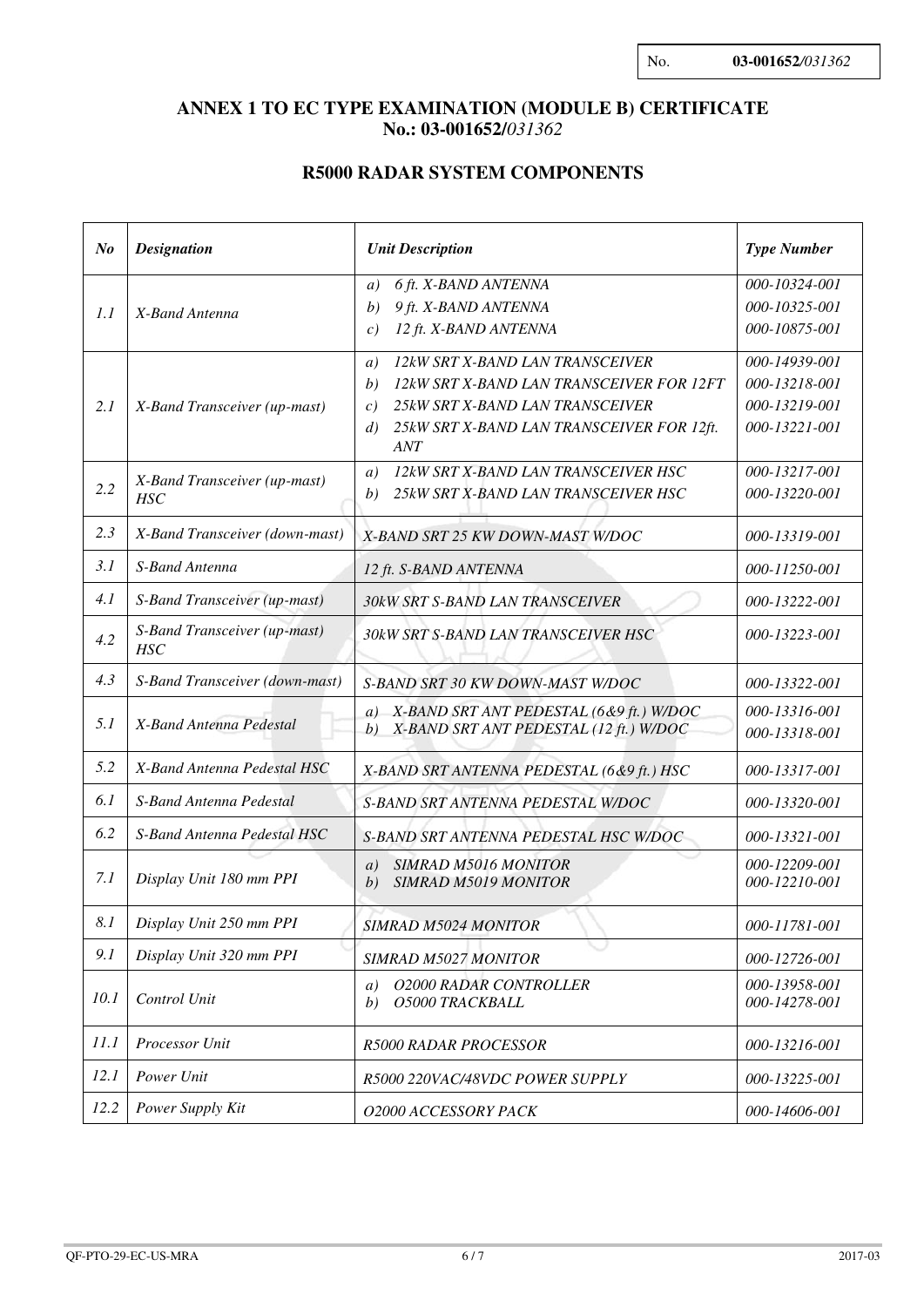## **ANNEX 1 TO EC TYPE EXAMINATION (MODULE B) CERTIFICATE No.: 03-001652/***031362*

## **R5000 RADAR SYSTEM COMPONENTS**

| $N_{0}$ | <b>Designation</b>                         | <b>Unit Description</b>                                                                                                                                                                    | <b>Type Number</b>                                               |  |  |  |  |
|---------|--------------------------------------------|--------------------------------------------------------------------------------------------------------------------------------------------------------------------------------------------|------------------------------------------------------------------|--|--|--|--|
| 1.1     | X-Band Antenna                             | 6 ft. X-BAND ANTENNA<br>a)<br>9 ft. X-BAND ANTENNA<br>b)<br>12 ft. X-BAND ANTENNA<br>c)                                                                                                    | 000-10324-001<br>000-10325-001<br>000-10875-001                  |  |  |  |  |
| 2.1     | X-Band Transceiver (up-mast)               | 12kW SRT X-BAND LAN TRANSCEIVER<br>a)<br>12kW SRT X-BAND LAN TRANSCEIVER FOR 12FT<br>b)<br>25kW SRT X-BAND LAN TRANSCEIVER<br>c)<br>25kW SRT X-BAND LAN TRANSCEIVER FOR 12ft.<br>d)<br>ANT | 000-14939-001<br>000-13218-001<br>000-13219-001<br>000-13221-001 |  |  |  |  |
| 2.2     | X-Band Transceiver (up-mast)<br><b>HSC</b> | 12kW SRT X-BAND LAN TRANSCEIVER HSC<br>a)<br>25kW SRT X-BAND LAN TRANSCEIVER HSC<br>b)                                                                                                     | 000-13217-001<br>000-13220-001                                   |  |  |  |  |
| 2.3     | X-Band Transceiver (down-mast)             | X-BAND SRT 25 KW DOWN-MAST W/DOC                                                                                                                                                           | 000-13319-001                                                    |  |  |  |  |
| 3.1     | S-Band Antenna                             | 12 ft. S-BAND ANTENNA                                                                                                                                                                      | 000-11250-001                                                    |  |  |  |  |
| 4.1     | S-Band Transceiver (up-mast)               | 30kW SRT S-BAND LAN TRANSCEIVER                                                                                                                                                            | 000-13222-001                                                    |  |  |  |  |
| 4.2     | S-Band Transceiver (up-mast)<br><b>HSC</b> | 30kW SRT S-BAND LAN TRANSCEIVER HSC                                                                                                                                                        | 000-13223-001                                                    |  |  |  |  |
| 4.3     | S-Band Transceiver (down-mast)             | S-BAND SRT 30 KW DOWN-MAST W/DOC                                                                                                                                                           | 000-13322-001                                                    |  |  |  |  |
| 5.1     | X-Band Antenna Pedestal                    | a) X-BAND SRT ANT PEDESTAL (6&9 ft.) W/DOC<br>X-BAND SRT ANT PEDESTAL (12 ft.) W/DOC<br>b)                                                                                                 | 000-13316-001<br>000-13318-001                                   |  |  |  |  |
| 5.2     | X-Band Antenna Pedestal HSC                | X-BAND SRT ANTENNA PEDESTAL (6&9 ft.) HSC                                                                                                                                                  | 000-13317-001                                                    |  |  |  |  |
| 6.1     | S-Band Antenna Pedestal                    | S-BAND SRT ANTENNA PEDESTAL W/DOC                                                                                                                                                          | 000-13320-001                                                    |  |  |  |  |
| 6.2     | S-Band Antenna Pedestal HSC                | S-BAND SRT ANTENNA PEDESTAL HSC W/DOC                                                                                                                                                      | 000-13321-001                                                    |  |  |  |  |
| 7.1     | Display Unit 180 mm PPI                    | <b>SIMRAD M5016 MONITOR</b><br>a)<br><b>SIMRAD M5019 MONITOR</b><br>b)                                                                                                                     | 000-12209-001<br>000-12210-001                                   |  |  |  |  |
| 8.1     | Display Unit 250 mm PPI                    | <b>SIMRAD M5024 MONITOR</b>                                                                                                                                                                | 000-11781-001                                                    |  |  |  |  |
| 9.1     | Display Unit 320 mm PPI                    | <b>SIMRAD M5027 MONITOR</b>                                                                                                                                                                | 000-12726-001                                                    |  |  |  |  |
| 10.1    | Control Unit                               | <b>O2000 RADAR CONTROLLER</b><br>a)<br>O5000 TRACKBALL<br>b)                                                                                                                               | 000-13958-001<br>000-14278-001                                   |  |  |  |  |
| 11.1    | Processor Unit                             | <b>R5000 RADAR PROCESSOR</b>                                                                                                                                                               | 000-13216-001                                                    |  |  |  |  |
| 12.1    | Power Unit                                 | R5000 220VAC/48VDC POWER SUPPLY                                                                                                                                                            | 000-13225-001                                                    |  |  |  |  |
| 12.2    | Power Supply Kit                           | O2000 ACCESSORY PACK                                                                                                                                                                       | 000-14606-001                                                    |  |  |  |  |